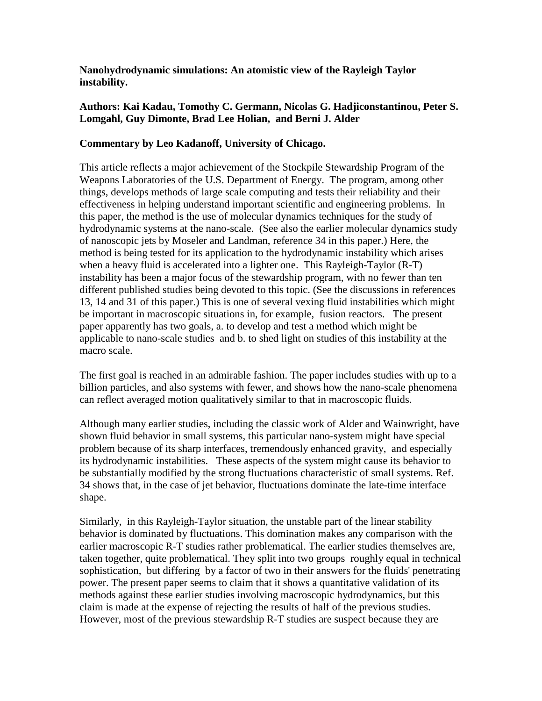**Nanohydrodynamic simulations: An atomistic view of the Rayleigh Taylor instability.**

## **Authors: Kai Kadau, Tomothy C. Germann, Nicolas G. Hadjiconstantinou, Peter S. Lomgahl, Guy Dimonte, Brad Lee Holian, and Berni J. Alder**

## **Commentary by Leo Kadanoff, University of Chicago.**

This article reflects a major achievement of the Stockpile Stewardship Program of the Weapons Laboratories of the U.S. Department of Energy. The program, among other things, develops methods of large scale computing and tests their reliability and their effectiveness in helping understand important scientific and engineering problems. In this paper, the method is the use of molecular dynamics techniques for the study of hydrodynamic systems at the nano-scale. (See also the earlier molecular dynamics study of nanoscopic jets by Moseler and Landman, reference 34 in this paper.) Here, the method is being tested for its application to the hydrodynamic instability which arises when a heavy fluid is accelerated into a lighter one. This Rayleigh-Taylor (R-T) instability has been a major focus of the stewardship program, with no fewer than ten different published studies being devoted to this topic. (See the discussions in references 13, 14 and 31 of this paper.) This is one of several vexing fluid instabilities which might be important in macroscopic situations in, for example, fusion reactors. The present paper apparently has two goals, a. to develop and test a method which might be applicable to nano-scale studies and b. to shed light on studies of this instability at the macro scale.

The first goal is reached in an admirable fashion. The paper includes studies with up to a billion particles, and also systems with fewer, and shows how the nano-scale phenomena can reflect averaged motion qualitatively similar to that in macroscopic fluids.

Although many earlier studies, including the classic work of Alder and Wainwright, have shown fluid behavior in small systems, this particular nano-system might have special problem because of its sharp interfaces, tremendously enhanced gravity, and especially its hydrodynamic instabilities. These aspects of the system might cause its behavior to be substantially modified by the strong fluctuations characteristic of small systems. Ref. 34 shows that, in the case of jet behavior, fluctuations dominate the late-time interface shape.

Similarly, in this Rayleigh-Taylor situation, the unstable part of the linear stability behavior is dominated by fluctuations. This domination makes any comparison with the earlier macroscopic R-T studies rather problematical. The earlier studies themselves are, taken together, quite problematical. They split into two groups roughly equal in technical sophistication, but differing by a factor of two in their answers for the fluids' penetrating power. The present paper seems to claim that it shows a quantitative validation of its methods against these earlier studies involving macroscopic hydrodynamics, but this claim is made at the expense of rejecting the results of half of the previous studies. However, most of the previous stewardship R-T studies are suspect because they are